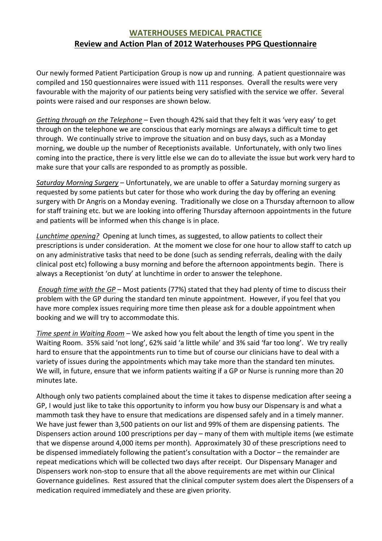## WATERHOUSES MEDICAL PRACTICE Review and Action Plan of 2012 Waterhouses PPG Questionnaire

Our newly formed Patient Participation Group is now up and running. A patient questionnaire was compiled and 150 questionnaires were issued with 111 responses. Overall the results were very favourable with the majority of our patients being very satisfied with the service we offer. Several points were raised and our responses are shown below.

Getting through on the Telephone – Even though 42% said that they felt it was 'very easy' to get through on the telephone we are conscious that early mornings are always a difficult time to get through. We continually strive to improve the situation and on busy days, such as a Monday morning, we double up the number of Receptionists available. Unfortunately, with only two lines coming into the practice, there is very little else we can do to alleviate the issue but work very hard to make sure that your calls are responded to as promptly as possible.

Saturday Morning Surgery - Unfortunately, we are unable to offer a Saturday morning surgery as requested by some patients but cater for those who work during the day by offering an evening surgery with Dr Angris on a Monday evening. Traditionally we close on a Thursday afternoon to allow for staff training etc. but we are looking into offering Thursday afternoon appointments in the future and patients will be informed when this change is in place.

Lunchtime opening? Opening at lunch times, as suggested, to allow patients to collect their prescriptions is under consideration. At the moment we close for one hour to allow staff to catch up on any administrative tasks that need to be done (such as sending referrals, dealing with the daily clinical post etc) following a busy morning and before the afternoon appointments begin. There is always a Receptionist 'on duty' at lunchtime in order to answer the telephone.

Enough time with the  $GP -$  Most patients (77%) stated that they had plenty of time to discuss their problem with the GP during the standard ten minute appointment. However, if you feel that you have more complex issues requiring more time then please ask for a double appointment when booking and we will try to accommodate this.

Time spent in Waiting Room – We asked how you felt about the length of time you spent in the Waiting Room. 35% said 'not long', 62% said 'a little while' and 3% said 'far too long'. We try really hard to ensure that the appointments run to time but of course our clinicians have to deal with a variety of issues during the appointments which may take more than the standard ten minutes. We will, in future, ensure that we inform patients waiting if a GP or Nurse is running more than 20 minutes late.

Although only two patients complained about the time it takes to dispense medication after seeing a GP, I would just like to take this opportunity to inform you how busy our Dispensary is and what a mammoth task they have to ensure that medications are dispensed safely and in a timely manner. We have just fewer than 3,500 patients on our list and 99% of them are dispensing patients. The Dispensers action around 100 prescriptions per day – many of them with multiple items (we estimate that we dispense around 4,000 items per month). Approximately 30 of these prescriptions need to be dispensed immediately following the patient's consultation with a Doctor – the remainder are repeat medications which will be collected two days after receipt. Our Dispensary Manager and Dispensers work non-stop to ensure that all the above requirements are met within our Clinical Governance guidelines. Rest assured that the clinical computer system does alert the Dispensers of a medication required immediately and these are given priority.